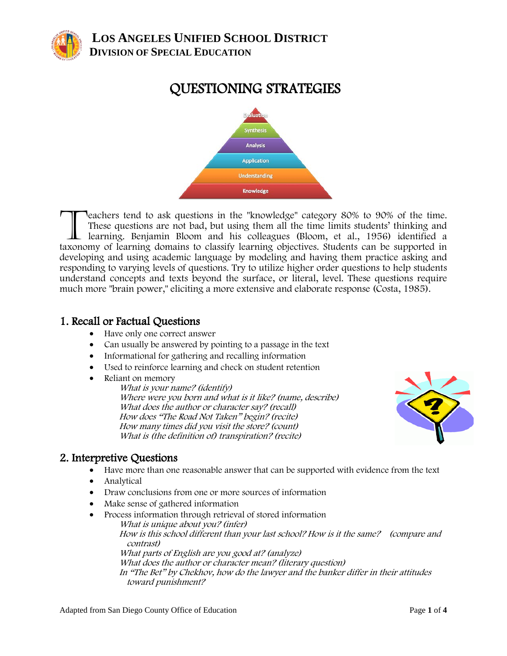

# QUESTIONING STRATEGIES



eachers tend to ask questions in the "knowledge" category 80% to 90% of the time. These questions are not bad, but using them all the time limits students' thinking and learning. Benjamin Bloom and his colleagues (Bloom, et al., 1956) identified a Teachers tend to ask questions in the "knowledge" category 80% to 90% of the time.<br>These questions are not bad, but using them all the time limits students' thinking and<br>learning. Benjamin Bloom and his colleagues (Bloom, developing and using academic language by modeling and having them practice asking and responding to varying levels of questions. Try to utilize higher order questions to help students understand concepts and texts beyond the surface, or literal, level. These questions require much more "brain power," eliciting a more extensive and elaborate response (Costa, 1985).

#### 1. Recall or Factual Questions

- Have only one correct answer
- Can usually be answered by pointing to a passage in the text
- Informational for gathering and recalling information
- Used to reinforce learning and check on student retention
- Reliant on memory

What is your name? (identify) Where were you born and what is it like? (name, describe) What does the author or character say? (recall) How does "The Road Not Taken" begin? (recite) How many times did you visit the store? (count) What is (the definition of) transpiration? (recite)



#### 2. Interpretive Questions

- Have more than one reasonable answer that can be supported with evidence from the text
- Analytical
- Draw conclusions from one or more sources of information
- Make sense of gathered information
- Process information through retrieval of stored information What is unique about you? (infer) How is this school different than your last school? How is it the same? (compare and contrast) What parts of English are you good at? (analyze) What does the author or character mean? (literary question) In "The Bet" by Chekhov, how do the lawyer and the banker differ in their attitudes toward punishment?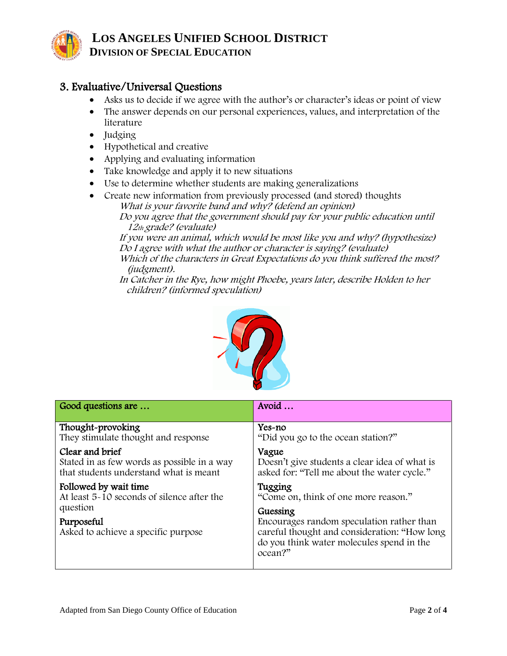

### 3. Evaluative/Universal Questions

- Asks us to decide if we agree with the author's or character's ideas or point of view
- The answer depends on our personal experiences, values, and interpretation of the literature
- Judging
- Hypothetical and creative
- Applying and evaluating information
- Take knowledge and apply it to new situations
- Use to determine whether students are making generalizations
- Create new information from previously processed (and stored) thoughts What is your favorite band and why? (defend an opinion)

Do you agree that the government should pay for your public education until 12th grade? (evaluate)

If you were an animal, which would be most like you and why? (hypothesize) Do I agree with what the author or character is saying? (evaluate)

Which of the characters in Great Expectations do you think suffered the most? (judgment).

In Catcher in the Rye, how might Phoebe, years later, describe Holden to her children? (informed speculation)



| Good questions are                                                                                                                   | Avoid                                                                                                                                                         |
|--------------------------------------------------------------------------------------------------------------------------------------|---------------------------------------------------------------------------------------------------------------------------------------------------------------|
| Thought-provoking<br>They stimulate thought and response                                                                             | $Yes-no$<br>"Did you go to the ocean station?"                                                                                                                |
| Clear and brief<br>Stated in as few words as possible in a way<br>that students understand what is meant                             | Vague<br>Doesn't give students a clear idea of what is<br>asked for: "Tell me about the water cycle."                                                         |
| Followed by wait time<br>At least 5~10 seconds of silence after the<br>question<br>Purposeful<br>Asked to achieve a specific purpose | Tugging<br>"Come on, think of one more reason."                                                                                                               |
|                                                                                                                                      | Guessing<br>Encourages random speculation rather than<br>careful thought and consideration: "How long<br>do you think water molecules spend in the<br>ocean?" |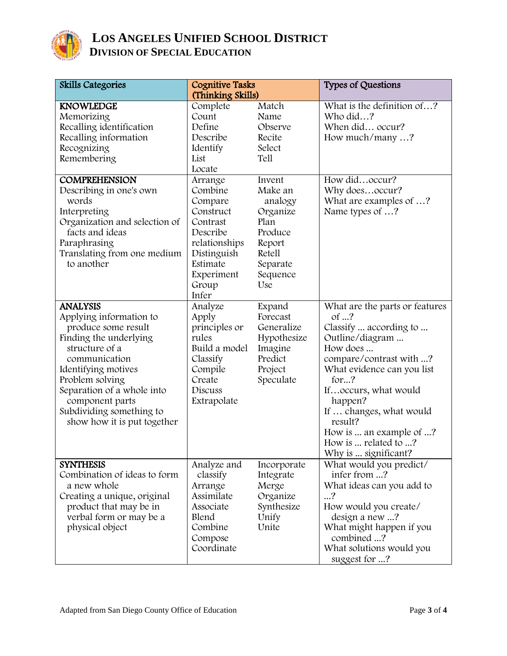

| Skills Categories                                                                                                                                                                                                                                                                    | <b>Cognitive Tasks</b><br>(Thinking Skills)                                                                                                    |                                                                                                                       | <b>Types of Questions</b>                                                                                                                                                                                                                                                                                             |
|--------------------------------------------------------------------------------------------------------------------------------------------------------------------------------------------------------------------------------------------------------------------------------------|------------------------------------------------------------------------------------------------------------------------------------------------|-----------------------------------------------------------------------------------------------------------------------|-----------------------------------------------------------------------------------------------------------------------------------------------------------------------------------------------------------------------------------------------------------------------------------------------------------------------|
| <b>KNOWLEDGE</b><br>Memorizing<br>Recalling identification<br>Recalling information<br>Recognizing<br>Remembering                                                                                                                                                                    | Complete<br>Count<br>Define<br>Describe<br>Identify<br>List<br>Locate                                                                          | Match<br>Name<br>Observe<br>Recite<br>Select<br>Tell                                                                  | What is the definition of?<br>Who did?<br>When did occur?<br>How much/many ?                                                                                                                                                                                                                                          |
| <b>COMPREHENSION</b><br>Describing in one's own<br>words<br>Interpreting<br>Organization and selection of<br>facts and ideas<br>Paraphrasing<br>Translating from one medium<br>to another                                                                                            | Arrange<br>Combine<br>Compare<br>Construct<br>Contrast<br>Describe<br>relationships<br>Distinguish<br>Estimate<br>Experiment<br>Group<br>Infer | Invent<br>Make an<br>analogy<br>Organize<br>Plan<br>Produce<br>Report<br><b>Retell</b><br>Separate<br>Sequence<br>Use | How didoccur?<br>Why doesoccur?<br>What are examples of ?<br>Name types of ?                                                                                                                                                                                                                                          |
| <b>ANALYSIS</b><br>Applying information to<br>produce some result<br>Finding the underlying<br>structure of a<br>communication<br>Identifying motives<br>Problem solving<br>Separation of a whole into<br>component parts<br>Subdividing something to<br>show how it is put together | Analyze<br>Apply<br>principles or<br>rules<br>Build a model<br>Classify<br>Compile<br>Create<br>Discuss<br>Extrapolate                         | Expand<br>Forecast<br>Generalize<br>Hypothesize<br>Imagine<br>Predict<br>Project<br>Speculate                         | What are the parts or features<br>of …?<br>Classify  according to<br>Outline/diagram<br>How does<br>compare/contrast with ?<br>What evidence can you list<br>for?<br>Ifoccurs, what would<br>happen?<br>If  changes, what would<br>result?<br>How is  an example of ?<br>How is  related to ?<br>Why is  significant? |
| <b>SYNTHESIS</b><br>Combination of ideas to form<br>a new whole<br>Creating a unique, original<br>product that may be in<br>verbal form or may be a<br>physical object                                                                                                               | Analyze and<br>classify<br>Arrange<br>Assimilate<br>Associate<br>Blend<br>Combine<br>Compose<br>Coordinate                                     | Incorporate<br>Integrate<br>Merge<br>Organize<br>Synthesize<br>Unify<br>Unite                                         | What would you predict/<br>infer from ?<br>What ideas can you add to<br>$\ldots$ ?<br>How would you create/<br>design a new ?<br>What might happen if you<br>combined ?<br>What solutions would you<br>suggest for ?                                                                                                  |